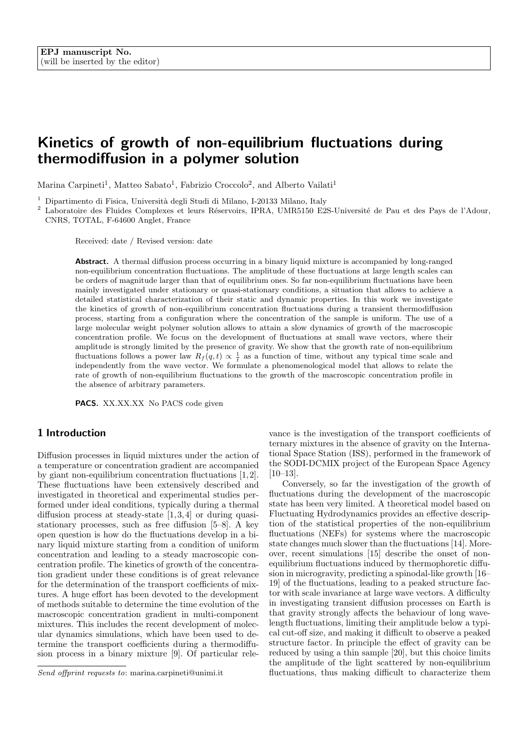# Kinetics of growth of non-equilibrium fluctuations during thermodiffusion in a polymer solution

Marina Carpineti<sup>1</sup>, Matteo Sabato<sup>1</sup>, Fabrizio Croccolo<sup>2</sup>, and Alberto Vailati<sup>1</sup>

<sup>1</sup> Dipartimento di Fisica, Universit`a degli Studi di Milano, I-20133 Milano, Italy

<sup>2</sup> Laboratoire des Fluides Complexes et leurs Réservoirs, IPRA, UMR5150 E2S-Université de Pau et des Pays de l'Adour, CNRS, TOTAL, F-64600 Anglet, France

Received: date / Revised version: date

Abstract. A thermal diffusion process occurring in a binary liquid mixture is accompanied by long-ranged non-equilibrium concentration fluctuations. The amplitude of these fluctuations at large length scales can be orders of magnitude larger than that of equilibrium ones. So far non-equilibrium fluctuations have been mainly investigated under stationary or quasi-stationary conditions, a situation that allows to achieve a detailed statistical characterization of their static and dynamic properties. In this work we investigate the kinetics of growth of non-equilibrium concentration fluctuations during a transient thermodiffusion process, starting from a configuration where the concentration of the sample is uniform. The use of a large molecular weight polymer solution allows to attain a slow dynamics of growth of the macroscopic concentration profile. We focus on the development of fluctuations at small wave vectors, where their amplitude is strongly limited by the presence of gravity. We show that the growth rate of non-equilibrium fluctuations follows a power law  $R_f(q,t) \propto \frac{1}{t}$  as a function of time, without any typical time scale and independently from the wave vector. We formulate a phenomenological model that allows to relate the rate of growth of non-equilibrium fluctuations to the growth of the macroscopic concentration profile in the absence of arbitrary parameters.

PACS. XX.XX.XX No PACS code given

# 1 Introduction

Diffusion processes in liquid mixtures under the action of a temperature or concentration gradient are accompanied by giant non-equilibrium concentration fluctuations [1, 2]. These fluctuations have been extensively described and investigated in theoretical and experimental studies performed under ideal conditions, typically during a thermal diffusion process at steady-state [1, 3, 4] or during quasistationary processes, such as free diffusion [5–8]. A key open question is how do the fluctuations develop in a binary liquid mixture starting from a condition of uniform concentration and leading to a steady macroscopic concentration profile. The kinetics of growth of the concentration gradient under these conditions is of great relevance for the determination of the transport coefficients of mixtures. A huge effort has been devoted to the development of methods suitable to determine the time evolution of the macroscopic concentration gradient in multi-component mixtures. This includes the recent development of molecular dynamics simulations, which have been used to determine the transport coefficients during a thermodiffusion process in a binary mixture [9]. Of particular relevance is the investigation of the transport coefficients of ternary mixtures in the absence of gravity on the International Space Station (ISS), performed in the framework of the SODI-DCMIX project of the European Space Agency  $[10-13]$ .

Conversely, so far the investigation of the growth of fluctuations during the development of the macroscopic state has been very limited. A theoretical model based on Fluctuating Hydrodynamics provides an effective description of the statistical properties of the non-equilibrium fluctuations (NEFs) for systems where the macroscopic state changes much slower than the fluctuations [14]. Moreover, recent simulations [15] describe the onset of nonequilibrium fluctuations induced by thermophoretic diffusion in microgravity, predicting a spinodal-like growth [16– 19] of the fluctuations, leading to a peaked structure factor with scale invariance at large wave vectors. A difficulty in investigating transient diffusion processes on Earth is that gravity strongly affects the behaviour of long wavelength fluctuations, limiting their amplitude below a typical cut-off size, and making it difficult to observe a peaked structure factor. In principle the effect of gravity can be reduced by using a thin sample [20], but this choice limits the amplitude of the light scattered by non-equilibrium fluctuations, thus making difficult to characterize them

Send offprint requests to: marina.carpineti@unimi.it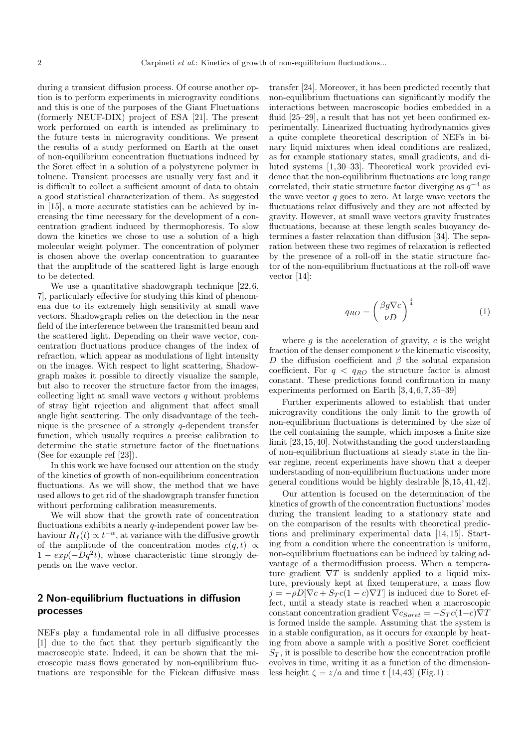during a transient diffusion process. Of course another option is to perform experiments in microgravity conditions and this is one of the purposes of the Giant Fluctuations (formerly NEUF-DIX) project of ESA [21]. The present work performed on earth is intended as preliminary to the future tests in microgravity conditions. We present the results of a study performed on Earth at the onset of non-equilibrium concentration fluctuations induced by the Soret effect in a solution of a polystyrene polymer in toluene. Transient processes are usually very fast and it is difficult to collect a sufficient amount of data to obtain a good statistical characterization of them. As suggested in [15], a more accurate statistics can be achieved by increasing the time necessary for the development of a concentration gradient induced by thermophoresis. To slow down the kinetics we chose to use a solution of a high molecular weight polymer. The concentration of polymer is chosen above the overlap concentration to guarantee that the amplitude of the scattered light is large enough to be detected.

We use a quantitative shadowgraph technique  $[22, 6, 6]$ 7], particularly effective for studying this kind of phenomena due to its extremely high sensitivity at small wave vectors. Shadowgraph relies on the detection in the near field of the interference between the transmitted beam and the scattered light. Depending on their wave vector, concentration fluctuations produce changes of the index of refraction, which appear as modulations of light intensity on the images. With respect to light scattering, Shadowgraph makes it possible to directly visualize the sample, but also to recover the structure factor from the images, collecting light at small wave vectors  $q$  without problems of stray light rejection and alignment that affect small angle light scattering. The only disadvantage of the technique is the presence of a strongly  $q$ -dependent transfer function, which usually requires a precise calibration to determine the static structure factor of the fluctuations (See for example ref [23]).

In this work we have focused our attention on the study of the kinetics of growth of non-equilibrium concentration fluctuations. As we will show, the method that we have used allows to get rid of the shadowgraph transfer function without performing calibration measurements.

We will show that the growth rate of concentration fluctuations exhibits a nearly  $q$ -independent power law behaviour  $R_f(t) \propto t^{-\alpha}$ , at variance with the diffusive growth of the amplitude of the concentration modes  $c(q, t) \propto$  $1 - exp(-Dq^2t)$ , whose characteristic time strongly depends on the wave vector.

# 2 Non-equilibrium fluctuations in diffusion processes

NEFs play a fundamental role in all diffusive processes [1] due to the fact that they perturb significantly the macroscopic state. Indeed, it can be shown that the microscopic mass flows generated by non-equilibrium fluctuations are responsible for the Fickean diffusive mass transfer [24]. Moreover, it has been predicted recently that non-equilibrium fluctuations can significantly modify the interactions between macroscopic bodies embedded in a fluid [25–29], a result that has not yet been confirmed experimentally. Linearized fluctuating hydrodynamics gives a quite complete theoretical description of NEFs in binary liquid mixtures when ideal conditions are realized, as for example stationary states, small gradients, and diluted systems [1, 30–33]. Theoretical work provided evidence that the non-equilibrium fluctuations are long range correlated, their static structure factor diverging as  $q^{-4}$  as the wave vector  $q$  goes to zero. At large wave vectors the fluctuations relax diffusively and they are not affected by gravity. However, at small wave vectors gravity frustrates fluctuations, because at these length scales buoyancy determines a faster relaxation than diffusion [34]. The separation between these two regimes of relaxation is reflected by the presence of a roll-off in the static structure factor of the non-equilibrium fluctuations at the roll-off wave vector [14]:

$$
q_{RO} = \left(\frac{\beta g \nabla c}{\nu D}\right)^{\frac{1}{4}} \tag{1}
$$

where  $g$  is the acceleration of gravity,  $c$  is the weight fraction of the denser component  $\nu$  the kinematic viscosity, D the diffusion coefficient and  $\beta$  the solutal expansion coefficient. For  $q < q_{RO}$  the structure factor is almost constant. These predictions found confirmation in many experiments performed on Earth [3, 4, 6, 7, 35–39]

Further experiments allowed to establish that under microgravity conditions the only limit to the growth of non-equilibrium fluctuations is determined by the size of the cell containing the sample, which imposes a finite size limit [23, 15, 40]. Notwithstanding the good understanding of non-equilibrium fluctuations at steady state in the linear regime, recent experiments have shown that a deeper understanding of non-equilibrium fluctuations under more general conditions would be highly desirable [8, 15, 41, 42].

Our attention is focused on the determination of the kinetics of growth of the concentration fluctuations' modes during the transient leading to a stationary state and on the comparison of the results with theoretical predictions and preliminary experimental data [14, 15]. Starting from a condition where the concentration is uniform, non-equilibrium fluctuations can be induced by taking advantage of a thermodiffusion process. When a temperature gradient  $\nabla T$  is suddenly applied to a liquid mixture, previously kept at fixed temperature, a mass flow  $j = -\rho D[\nabla c + S_T c(1 - c)\nabla T]$  is induced due to Soret effect, until a steady state is reached when a macroscopic constant concentration gradient  $\nabla c_{Soret} = -S_T c(1-c)\nabla T$ is formed inside the sample. Assuming that the system is in a stable configuration, as it occurs for example by heating from above a sample with a positive Soret coefficient  $S_T$ , it is possible to describe how the concentration profile evolves in time, writing it as a function of the dimensionless height  $\zeta = z/a$  and time t [14,43] (Fig.1) :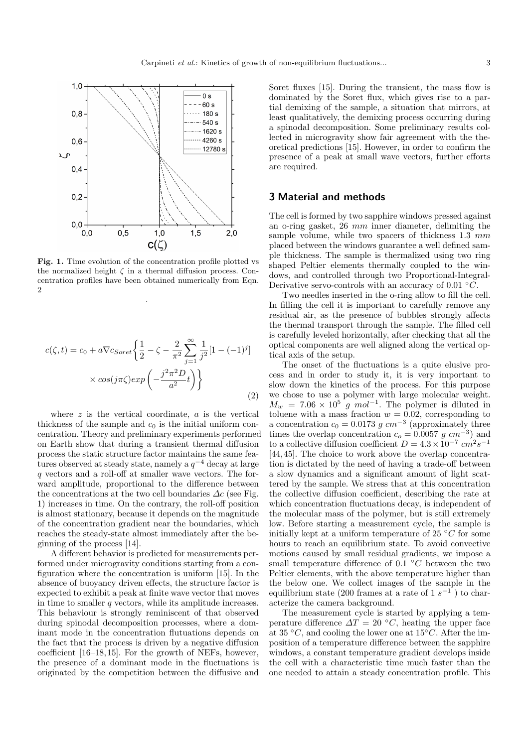

Fig. 1. Time evolution of the concentration profile plotted vs the normalized height  $\zeta$  in a thermal diffusion process. Concentration profiles have been obtained numerically from Eqn.  $\Omega$ 

.

$$
c(\zeta, t) = c_0 + a \nabla c_{Soret} \left\{ \frac{1}{2} - \zeta - \frac{2}{\pi^2} \sum_{j=1}^{\infty} \frac{1}{j^2} [1 - (-1)^j] \right\}
$$

$$
\times \cos(j\pi\zeta) exp\left(-\frac{j^2 \pi^2 D}{a^2} t\right) \right\}
$$
(2)

where  $z$  is the vertical coordinate,  $a$  is the vertical thickness of the sample and  $c_0$  is the initial uniform concentration. Theory and preliminary experiments performed on Earth show that during a transient thermal diffusion process the static structure factor maintains the same features observed at steady state, namely a  $q^{-4}$  decay at large q vectors and a roll-off at smaller wave vectors. The forward amplitude, proportional to the difference between the concentrations at the two cell boundaries  $\Delta c$  (see Fig. 1) increases in time. On the contrary, the roll-off position is almost stationary, because it depends on the magnitude of the concentration gradient near the boundaries, which reaches the steady-state almost immediately after the beginning of the process [14].

A different behavior is predicted for measurements performed under microgravity conditions starting from a configuration where the concentration is uniform [15]. In the absence of buoyancy driven effects, the structure factor is expected to exhibit a peak at finite wave vector that moves in time to smaller  $q$  vectors, while its amplitude increases. This behaviour is strongly reminiscent of that observed during spinodal decomposition processes, where a dominant mode in the concentration flutuations depends on the fact that the process is driven by a negative diffusion coefficient [16–18, 15]. For the growth of NEFs, however, the presence of a dominant mode in the fluctuations is originated by the competition between the diffusive and Soret fluxes [15]. During the transient, the mass flow is dominated by the Soret flux, which gives rise to a partial demixing of the sample, a situation that mirrors, at least qualitatively, the demixing process occurring during a spinodal decomposition. Some preliminary results collected in microgravity show fair agreement with the theoretical predictions [15]. However, in order to confirm the presence of a peak at small wave vectors, further efforts are required.

#### 3 Material and methods

The cell is formed by two sapphire windows pressed against an o-ring gasket, 26 mm inner diameter, delimiting the sample volume, while two spacers of thickness 1.3 mm placed between the windows guarantee a well defined sample thickness. The sample is thermalized using two ring shaped Peltier elements thermally coupled to the windows, and controlled through two Proportional-Integral-Derivative servo-controls with an accuracy of 0.01  $°C$ .

Two needles inserted in the o-ring allow to fill the cell. In filling the cell it is important to carefully remove any residual air, as the presence of bubbles strongly affects the thermal transport through the sample. The filled cell is carefully leveled horizontally, after checking that all the optical components are well aligned along the vertical optical axis of the setup.

The onset of the fluctuations is a quite elusive process and in order to study it, it is very important to slow down the kinetics of the process. For this purpose we chose to use a polymer with large molecular weight.  $M_w = 7.06 \times 10^5$  g mol<sup>-1</sup>. The polymer is diluted in toluene with a mass fraction  $w = 0.02$ , corresponding to a concentration  $c_0 = 0.0173$  g  $cm^{-3}$  (approximately three times the overlap concentration  $c_o = 0.0057$  g  $cm^{-3}$ ) and to a collective diffusion coefficient  $D = 4.3 \times 10^{-7} \text{ cm}^2 \text{s}^{-1}$ [44, 45]. The choice to work above the overlap concentration is dictated by the need of having a trade-off between a slow dynamics and a significant amount of light scattered by the sample. We stress that at this concentration the collective diffusion coefficient, describing the rate at which concentration fluctuations decay, is independent of the molecular mass of the polymer, but is still extremely low. Before starting a measurement cycle, the sample is initially kept at a uniform temperature of 25  $\degree C$  for some hours to reach an equilibrium state. To avoid convective motions caused by small residual gradients, we impose a small temperature difference of 0.1  $\degree C$  between the two Peltier elements, with the above temperature higher than the below one. We collect images of the sample in the equilibrium state (200 frames at a rate of  $1 s^{-1}$ ) to characterize the camera background.

The measurement cycle is started by applying a temperature difference  $\Delta T = 20$  °C, heating the upper face at 35 °C, and cooling the lower one at  $15^{\circ}C$ . After the imposition of a temperature difference between the sapphire windows, a constant temperature gradient develops inside the cell with a characteristic time much faster than the one needed to attain a steady concentration profile. This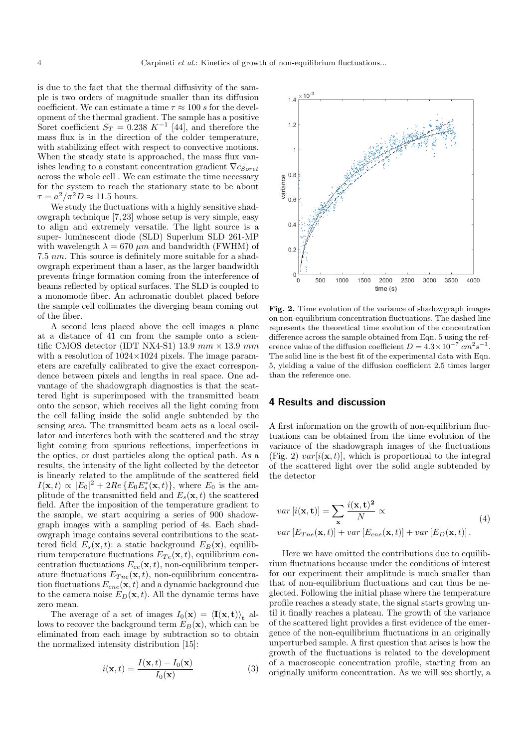is due to the fact that the thermal diffusivity of the sample is two orders of magnitude smaller than its diffusion coefficient. We can estimate a time  $\tau \approx 100 s$  for the development of the thermal gradient. The sample has a positive Soret coefficient  $S_T = 0.238 K^{-1}$  [44], and therefore the mass flux is in the direction of the colder temperature, with stabilizing effect with respect to convective motions. When the steady state is approached, the mass flux vanishes leading to a constant concentration gradient  $\nabla c_{Soret}$ across the whole cell . We can estimate the time necessary for the system to reach the stationary state to be about  $\tau = a^2/\pi^2 D \approx 11.5$  hours.

We study the fluctuations with a highly sensitive shadowgraph technique [7, 23] whose setup is very simple, easy to align and extremely versatile. The light source is a super- luminescent diode (SLD) Superlum SLD 261-MP with wavelength  $\lambda = 670 \ \mu m$  and bandwidth (FWHM) of 7.5 nm. This source is definitely more suitable for a shadowgraph experiment than a laser, as the larger bandwidth prevents fringe formation coming from the interference of beams reflected by optical surfaces. The SLD is coupled to a monomode fiber. An achromatic doublet placed before the sample cell collimates the diverging beam coming out of the fiber.

A second lens placed above the cell images a plane at a distance of 41 cm from the sample onto a scientific CMOS detector (IDT NX4-S1) 13.9 mm  $\times$  13.9 mm with a resolution of  $1024\times1024$  pixels. The image parameters are carefully calibrated to give the exact correspondence between pixels and lengths in real space. One advantage of the shadowgraph diagnostics is that the scattered light is superimposed with the transmitted beam onto the sensor, which receives all the light coming from the cell falling inside the solid angle subtended by the sensing area. The transmitted beam acts as a local oscillator and interferes both with the scattered and the stray light coming from spurious reflections, imperfections in the optics, or dust particles along the optical path. As a results, the intensity of the light collected by the detector is linearly related to the amplitude of the scattered field  $I(\mathbf{x},t) \propto |E_0|^2 + 2Re\{E_0 E_s^*(\mathbf{x},t)\},$  where  $E_0$  is the amplitude of the transmitted field and  $E_s(\mathbf{x}, t)$  the scattered field. After the imposition of the temperature gradient to the sample, we start acquiring a series of 900 shadowgraph images with a sampling period of 4s. Each shadowgraph image contains several contributions to the scattered field  $E_s(\mathbf{x}, t)$ : a static background  $E_B(\mathbf{x})$ , equilibrium temperature fluctuations  $E_{Te}(\mathbf{x}, t)$ , equilibrium concentration fluctuations  $E_{ce}(\mathbf{x}, t)$ , non-equilibrium temperature fluctuations  $E_{Tne}(\mathbf{x}, t)$ , non-equilibrium concentration fluctuations  $E_{cne}(\mathbf{x}, t)$  and a dynamic background due to the camera noise  $E_D(\mathbf{x}, t)$ . All the dynamic terms have zero mean.

The average of a set of images  $I_0(\mathbf{x}) = \langle \mathbf{I}(\mathbf{x}, \mathbf{t}) \rangle_{\mathbf{t}}$  allows to recover the background term  $E_B(\mathbf{x})$ , which can be eliminated from each image by subtraction so to obtain the normalized intensity distribution [15]:

$$
i(\mathbf{x},t) = \frac{I(\mathbf{x},t) - I_0(\mathbf{x})}{I_0(\mathbf{x})}
$$
(3)



Fig. 2. Time evolution of the variance of shadowgraph images on non-equilibrium concentration fluctuations. The dashed line represents the theoretical time evolution of the concentration difference across the sample obtained from Eqn. 5 using the reference value of the diffusion coefficient  $D = 4.3 \times 10^{-7} \text{ cm}^2 \text{s}^{-1}$ . The solid line is the best fit of the experimental data with Eqn. 5, yielding a value of the diffusion coefficient 2.5 times larger than the reference one.

# 4 Results and discussion

A first information on the growth of non-equilibrium fluctuations can be obtained from the time evolution of the variance of the shadowgraph images of the fluctuations (Fig. 2)  $var[i(\mathbf{x}, t)]$ , which is proportional to the integral of the scattered light over the solid angle subtended by the detector

$$
var[i(\mathbf{x}, \mathbf{t})] = \sum_{\mathbf{x}} \frac{i(\mathbf{x}, \mathbf{t})^2}{N} \propto
$$
  
var  $[E_{Tne}(\mathbf{x}, t)] + var[E_{cne}(\mathbf{x}, t)] + var[E_D(\mathbf{x}, t)].$  (4)

Here we have omitted the contributions due to equilibrium fluctuations because under the conditions of interest for our experiment their amplitude is much smaller than that of non-equilibrium fluctuations and can thus be neglected. Following the initial phase where the temperature profile reaches a steady state, the signal starts growing until it finally reaches a plateau. The growth of the variance of the scattered light provides a first evidence of the emergence of the non-equilibrium fluctuations in an originally unperturbed sample. A first question that arises is how the growth of the fluctuations is related to the development of a macroscopic concentration profile, starting from an originally uniform concentration. As we will see shortly, a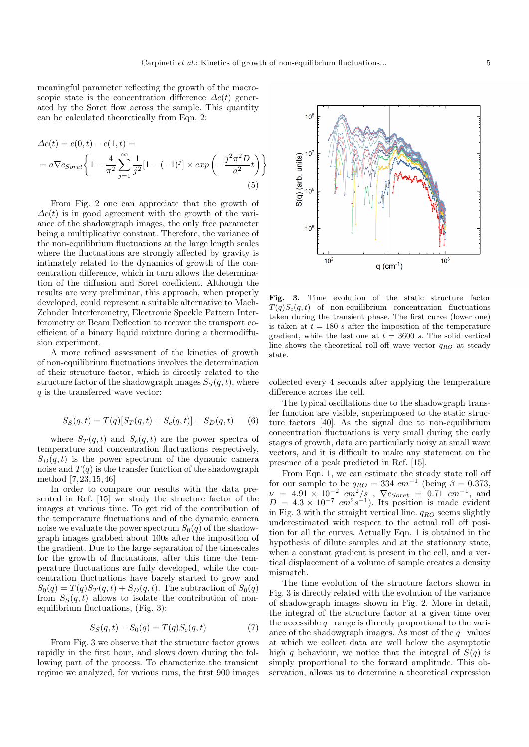meaningful parameter reflecting the growth of the macroscopic state is the concentration difference  $\Delta c(t)$  generated by the Soret flow across the sample. This quantity can be calculated theoretically from Eqn. 2:

$$
\Delta c(t) = c(0, t) - c(1, t) =
$$
  
=  $a \nabla c_{Soret} \left\{ 1 - \frac{4}{\pi^2} \sum_{j=1}^{\infty} \frac{1}{j^2} [1 - (-1)^j] \times exp\left(-\frac{j^2 \pi^2 D}{a^2} t\right) \right\}$  (5)

From Fig. 2 one can appreciate that the growth of  $\Delta c(t)$  is in good agreement with the growth of the variance of the shadowgraph images, the only free parameter being a multiplicative constant. Therefore, the variance of the non-equilibrium fluctuations at the large length scales where the fluctuations are strongly affected by gravity is intimately related to the dynamics of growth of the concentration difference, which in turn allows the determination of the diffusion and Soret coefficient. Although the results are very preliminar, this approach, when properly developed, could represent a suitable alternative to Mach-Zehnder Interferometry, Electronic Speckle Pattern Interferometry or Beam Deflection to recover the transport coefficient of a binary liquid mixture during a thermodiffusion experiment.

A more refined assessment of the kinetics of growth of non-equilibrium fluctuations involves the determination of their structure factor, which is directly related to the structure factor of the shadowgraph images  $S_S(q, t)$ , where  $q$  is the transferred wave vector:

$$
S_S(q,t) = T(q)[S_T(q,t) + S_c(q,t)] + S_D(q,t)
$$
 (6)

where  $S_T(q,t)$  and  $S_c(q,t)$  are the power spectra of temperature and concentration fluctuations respectively,  $S_D(q,t)$  is the power spectrum of the dynamic camera noise and  $T(q)$  is the transfer function of the shadowgraph method [7, 23, 15, 46]

In order to compare our results with the data presented in Ref. [15] we study the structure factor of the images at various time. To get rid of the contribution of the temperature fluctuations and of the dynamic camera noise we evaluate the power spectrum  $S_0(q)$  of the shadowgraph images grabbed about 100s after the imposition of the gradient. Due to the large separation of the timescales for the growth of fluctuations, after this time the temperature fluctuations are fully developed, while the concentration fluctuations have barely started to grow and  $S_0(q) = T(q)S_T(q,t) + S_D(q,t)$ . The subtraction of  $S_0(q)$ from  $S_S(q,t)$  allows to isolate the contribution of nonequilibrium fluctuations, (Fig. 3):

$$
S_S(q, t) - S_0(q) = T(q)S_c(q, t)
$$
\n(7)

From Fig. 3 we observe that the structure factor grows rapidly in the first hour, and slows down during the following part of the process. To characterize the transient regime we analyzed, for various runs, the first 900 images



Fig. 3. Time evolution of the static structure factor  $T(q)S_c(q,t)$  of non-equilibrium concentration fluctuations taken during the transient phase. The first curve (lower one) is taken at  $t = 180$  s after the imposition of the temperature gradient, while the last one at  $t = 3600 s$ . The solid vertical line shows the theoretical roll-off wave vector  $q_{RO}$  at steady state.

collected every 4 seconds after applying the temperature difference across the cell.

The typical oscillations due to the shadowgraph transfer function are visible, superimposed to the static structure factors [40]. As the signal due to non-equilibrium concentration fluctuations is very small during the early stages of growth, data are particularly noisy at small wave vectors, and it is difficult to make any statement on the presence of a peak predicted in Ref. [15].

From Eqn. 1, we can estimate the steady state roll off for our sample to be  $q_{RO} = 334$   $cm^{-1}$  (being  $\beta = 0.373$ ,  $\nu = 4.91 \times 10^{-2}$   $cm^2/s$ ,  $\nabla c_{Soret} = 0.71$   $cm^{-1}$ , and  $D = 4.3 \times 10^{-7}$  cm<sup>2</sup>s<sup>-1</sup>). Its position is made evident in Fig. 3 with the straight vertical line.  $q_{RO}$  seems slightly underestimated with respect to the actual roll off position for all the curves. Actually Eqn. 1 is obtained in the hypothesis of dilute samples and at the stationary state, when a constant gradient is present in the cell, and a vertical displacement of a volume of sample creates a density mismatch.

The time evolution of the structure factors shown in Fig. 3 is directly related with the evolution of the variance of shadowgraph images shown in Fig. 2. More in detail, the integral of the structure factor at a given time over the accessible q−range is directly proportional to the variance of the shadowgraph images. As most of the q−values at which we collect data are well below the asymptotic high q behaviour, we notice that the integral of  $S(q)$  is simply proportional to the forward amplitude. This observation, allows us to determine a theoretical expression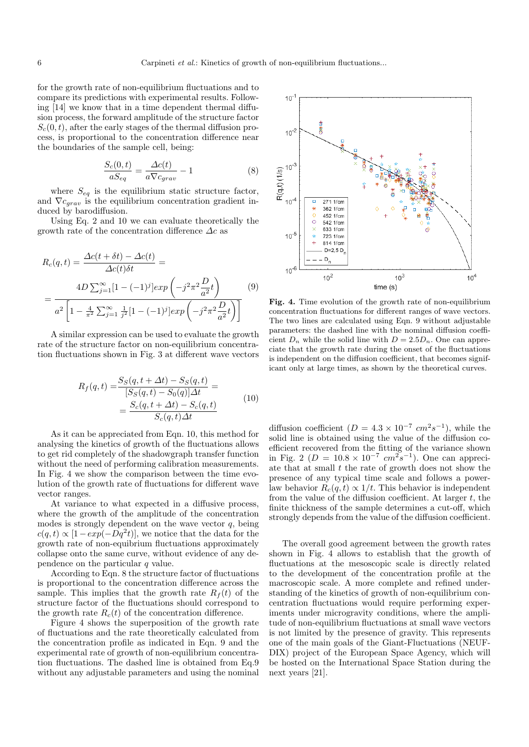for the growth rate of non-equilibrium fluctuations and to compare its predictions with experimental results. Following [14] we know that in a time dependent thermal diffusion process, the forward amplitude of the structure factor  $S<sub>c</sub>(0, t)$ , after the early stages of the thermal diffusion process, is proportional to the concentration difference near the boundaries of the sample cell, being:

$$
\frac{S_c(0,t)}{aS_{eq}} = \frac{\Delta c(t)}{a\nabla c_{grav}} - 1\tag{8}
$$

where  $S_{eq}$  is the equilibrium static structure factor, and  $\nabla c_{grav}$  is the equilibrium concentration gradient induced by barodiffusion.

Using Eq. 2 and 10 we can evaluate theoretically the growth rate of the concentration difference  $\Delta c$  as

$$
R_c(q,t) = \frac{\Delta c(t + \delta t) - \Delta c(t)}{\Delta c(t)\delta t} =
$$
  
= 
$$
\frac{4D \sum_{j=1}^{\infty} [1 - (-1)^j] exp\left(-j^2 \pi^2 \frac{D}{a^2}t\right)}{a^2 \left[1 - \frac{4}{\pi^2} \sum_{j=1}^{\infty} \frac{1}{j^2} [1 - (-1)^j] exp\left(-j^2 \pi^2 \frac{D}{a^2}t\right)\right]}
$$
(9)

A similar expression can be used to evaluate the growth rate of the structure factor on non-equilibrium concentration fluctuations shown in Fig. 3 at different wave vectors

$$
R_f(q,t) = \frac{S_S(q, t + \Delta t) - S_S(q, t)}{[S_S(q, t) - S_0(q)]\Delta t} =
$$
  
= 
$$
\frac{S_c(q, t + \Delta t) - S_c(q, t)}{S_c(q, t)\Delta t}
$$
(10)

As it can be appreciated from Eqn. 10, this method for analysing the kinetics of growth of the fluctuations allows to get rid completely of the shadowgraph transfer function without the need of performing calibration measurements. In Fig. 4 we show the comparison between the time evolution of the growth rate of fluctuations for different wave vector ranges.

At variance to what expected in a diffusive process, where the growth of the amplitude of the concentration modes is strongly dependent on the wave vector  $q$ , being  $c(q, t) \propto [1 - exp(-Dq^2t)],$  we notice that the data for the growth rate of non-equibrium fluctuations approximately collapse onto the same curve, without evidence of any dependence on the particular  $q$  value.

According to Eqn. 8 the structure factor of fluctuations is proportional to the concentration difference across the sample. This implies that the growth rate  $R_f(t)$  of the structure factor of the fluctuations should correspond to the growth rate  $R_c(t)$  of the concentration difference.

Figure 4 shows the superposition of the growth rate of fluctuations and the rate theoretically calculated from the concentration profile as indicated in Eqn. 9 and the experimental rate of growth of non-equilibrium concentration fluctuations. The dashed line is obtained from Eq.9 without any adjustable parameters and using the nominal



Fig. 4. Time evolution of the growth rate of non-equilibrium concentration fluctuations for different ranges of wave vectors. The two lines are calculated using Eqn. 9 without adjustable parameters: the dashed line with the nominal diffusion coefficient  $D_n$  while the solid line with  $D = 2.5D_n$ . One can appreciate that the growth rate during the onset of the fluctuations is independent on the diffusion coefficient, that becomes significant only at large times, as shown by the theoretical curves.

diffusion coefficient  $(D = 4.3 \times 10^{-7} \text{ cm}^2 \text{s}^{-1})$ , while the solid line is obtained using the value of the diffusion coefficient recovered from the fitting of the variance shown in Fig. 2 ( $D = 10.8 \times 10^{-7}$   $cm^2 s^{-1}$ ). One can appreciate that at small  $t$  the rate of growth does not show the presence of any typical time scale and follows a powerlaw behavior  $R_c(q, t) \propto 1/t$ . This behavior is independent from the value of the diffusion coefficient. At larger  $t$ , the finite thickness of the sample determines a cut-off, which strongly depends from the value of the diffusion coefficient.

The overall good agreement between the growth rates shown in Fig. 4 allows to establish that the growth of fluctuations at the mesoscopic scale is directly related to the development of the concentration profile at the macroscopic scale. A more complete and refined understanding of the kinetics of growth of non-equilibrium concentration fluctuations would require performing experiments under microgravity conditions, where the amplitude of non-equilibrium fluctuations at small wave vectors is not limited by the presence of gravity. This represents one of the main goals of the Giant-Fluctuations (NEUF-DIX) project of the European Space Agency, which will be hosted on the International Space Station during the next years [21].